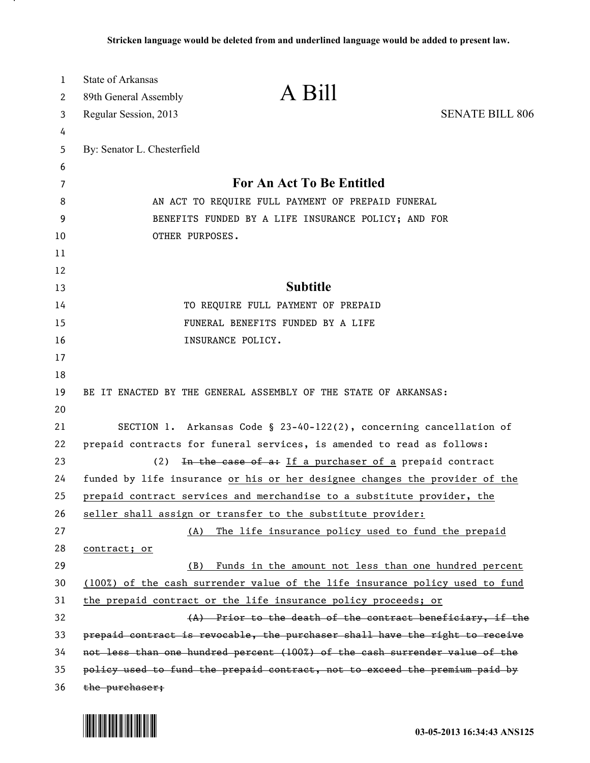| 1        | <b>State of Arkansas</b>                            |                                                                              |                        |
|----------|-----------------------------------------------------|------------------------------------------------------------------------------|------------------------|
| 2        | 89th General Assembly                               | A Bill                                                                       |                        |
| 3        | Regular Session, 2013                               |                                                                              | <b>SENATE BILL 806</b> |
| 4        |                                                     |                                                                              |                        |
| 5        | By: Senator L. Chesterfield                         |                                                                              |                        |
| 6        |                                                     |                                                                              |                        |
| 7        | <b>For An Act To Be Entitled</b>                    |                                                                              |                        |
| 8        | AN ACT TO REQUIRE FULL PAYMENT OF PREPAID FUNERAL   |                                                                              |                        |
| 9        | BENEFITS FUNDED BY A LIFE INSURANCE POLICY; AND FOR |                                                                              |                        |
| 10       | OTHER PURPOSES.                                     |                                                                              |                        |
| 11       |                                                     |                                                                              |                        |
| 12       |                                                     | <b>Subtitle</b>                                                              |                        |
| 13       |                                                     |                                                                              |                        |
| 14       |                                                     | TO REQUIRE FULL PAYMENT OF PREPAID                                           |                        |
| 15<br>16 |                                                     | FUNERAL BENEFITS FUNDED BY A LIFE<br>INSURANCE POLICY.                       |                        |
| 17       |                                                     |                                                                              |                        |
| 18       |                                                     |                                                                              |                        |
| 19       |                                                     | BE IT ENACTED BY THE GENERAL ASSEMBLY OF THE STATE OF ARKANSAS:              |                        |
| 20       |                                                     |                                                                              |                        |
| 21       |                                                     | SECTION 1. Arkansas Code § 23-40-122(2), concerning cancellation of          |                        |
| 22       |                                                     | prepaid contracts for funeral services, is amended to read as follows:       |                        |
| 23       | (2)                                                 | In the case of a: If a purchaser of a prepaid contract                       |                        |
| 24       |                                                     | funded by life insurance or his or her designee changes the provider of the  |                        |
| 25       |                                                     | prepaid contract services and merchandise to a substitute provider, the      |                        |
| 26       |                                                     | seller shall assign or transfer to the substitute provider:                  |                        |
| 27       | (A)                                                 | The life insurance policy used to fund the prepaid                           |                        |
| 28       | contract; or                                        |                                                                              |                        |
| 29       | (B)                                                 | Funds in the amount not less than one hundred percent                        |                        |
| 30       |                                                     | (100%) of the cash surrender value of the life insurance policy used to fund |                        |
| 31       |                                                     | the prepaid contract or the life insurance policy proceeds; or               |                        |
| 32       |                                                     | (A) Prior to the death of the contract beneficiary, if the                   |                        |
| 33       |                                                     | prepaid contract is revocable, the purchaser shall have the right to receive |                        |
| 34       |                                                     | not less than one hundred percent (100%) of the eash surrender value of the  |                        |
| 35       |                                                     | policy used to fund the prepaid contract, not to exceed the premium paid by  |                        |
| 36       | the purchaser;                                      |                                                                              |                        |



.